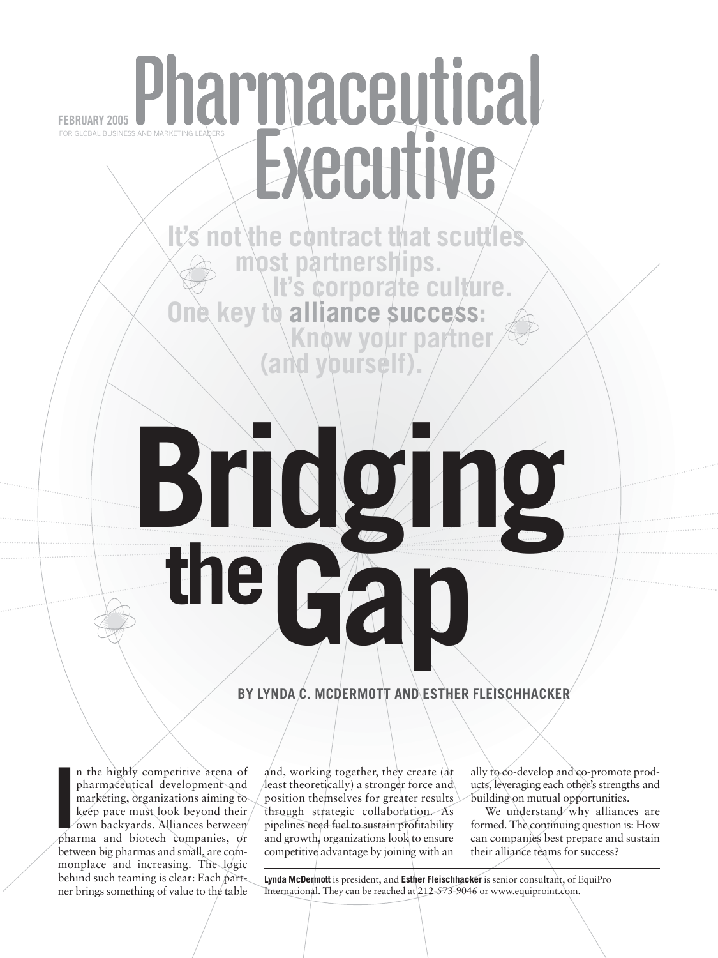## Pharmary 2005 Pharmarketing Leaders **FEBRUARY 2005** Executive

*<u>is not</u>* **es most partnerships.<br>It's corporate culture.<br>One key to alliance success: Know your partner<br>(and yourself).** 

# **the Bridge**<br>the Ga

#### **BY LYNDA C. MCDERMOTT AND ESTHER FLEISCHHACKER**

In the highly competitive arena of pharmaceutical development and marketing, organizations aiming to keep pace must look beyond their own backyards. Alliances between pharma and biotech companies, or n the highly competitive arena of pharmaceutical development and marketing, organizations aiming to keep pace must look beyond their own backyards. Alliances between between big pharmas and small, are commonplace and increasing. The logic behind such teaming is clear: Each partner brings something of value to the table

and, working together, they create (at least theoretically) a stronger force and position themselves for greater results through strategic collaboration. As pipelines need fuel to sustain profitability and growth, organizations look to ensure competitive advantage by joining with an

ally to co-develop and co-promote products, leveraging each other's strengths and building on mutual opportunities.

We understand why alliances are formed. The continuing question is: How can companies best prepare and sustain their alliance teams for success?

**Lynda McDermott** is president, and **Esther Fleischhacker** is senior consultant, of EquiPro International. They can be reached at 212-573-9046 or www.equiproint.com.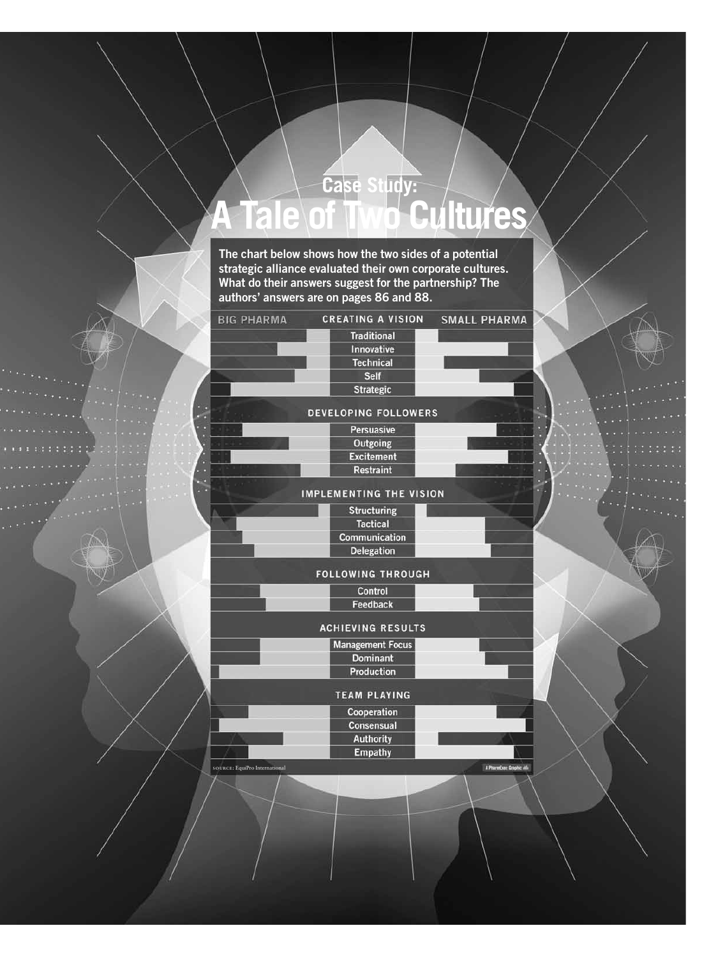### **Case Study: A Tale of Two Cultures**

**The chart below shows how the two sides of a potential strategic alliance evaluated their own corporate cultures. What do their answers suggest for the partnership? The authors' answers are on pages 86 and 88.**

| <b>BIG PHARMA</b>                    | <b>CREATING A VISION</b>       | <b>SMALL PHARMA</b>      |
|--------------------------------------|--------------------------------|--------------------------|
|                                      | <b>Traditional</b>             |                          |
|                                      | Innovative                     |                          |
|                                      | <b>Technical</b>               |                          |
|                                      | <b>Self</b>                    |                          |
|                                      | <b>Strategic</b>               |                          |
|                                      | DEVELOPING FOLLOWERS           |                          |
|                                      | <b>Persuasive</b>              |                          |
|                                      | Outgoing                       |                          |
|                                      | <b>Excitement</b>              |                          |
|                                      | <b>Restraint</b>               |                          |
|                                      | <b>IMPLEMENTING THE VISION</b> |                          |
|                                      | <b>Structuring</b>             |                          |
|                                      | <b>Tactical</b>                |                          |
|                                      | Communication                  |                          |
|                                      | <b>Delegation</b>              |                          |
|                                      | <b>FOLLOWING THROUGH</b>       |                          |
|                                      | Control                        |                          |
|                                      | Feedback                       |                          |
|                                      | <b>ACHIEVING RESULTS</b>       |                          |
|                                      | <b>Management Focus</b>        |                          |
|                                      | <b>Dominant</b>                |                          |
|                                      | Production                     |                          |
|                                      | <b>TEAM PLAYING</b>            |                          |
|                                      | Cooperation                    |                          |
|                                      | Consensual                     |                          |
|                                      | <b>Authority</b>               |                          |
|                                      | <b>Empathy</b>                 |                          |
| <b>SOURCE:</b> EquiPro International |                                | A PharmExec Graphic vil- |
|                                      |                                |                          |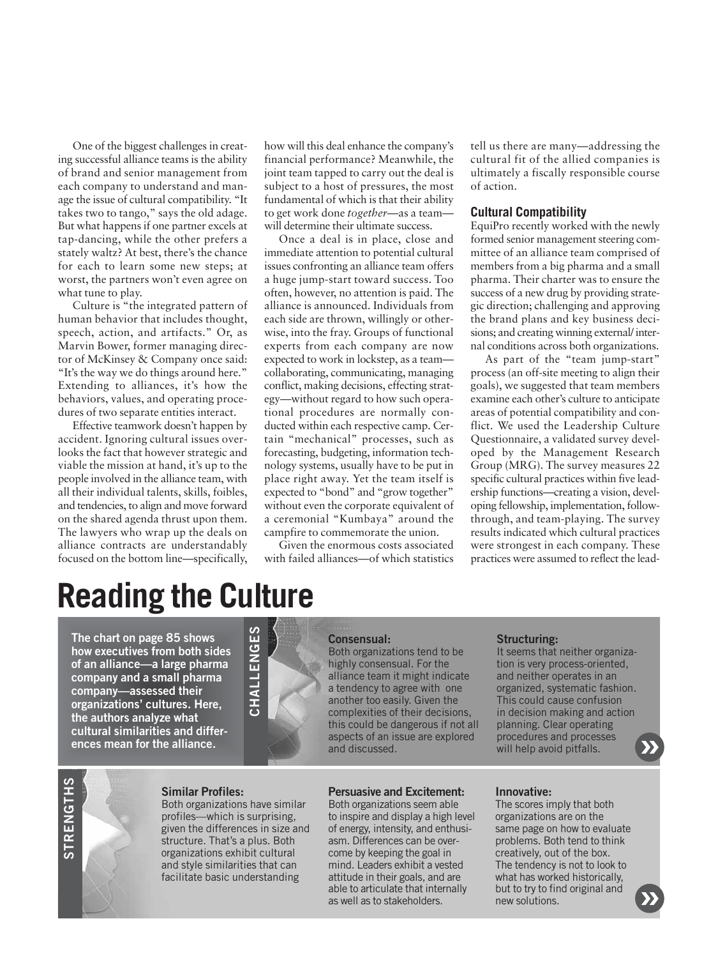One of the biggest challenges in creating successful alliance teams is the ability of brand and senior management from each company to understand and manage the issue of cultural compatibility. "It takes two to tango," says the old adage. But what happens if one partner excels at tap-dancing, while the other prefers a stately waltz? At best, there's the chance for each to learn some new steps; at worst, the partners won't even agree on what tune to play.

Culture is "the integrated pattern of human behavior that includes thought, speech, action, and artifacts." Or, as Marvin Bower, former managing director of McKinsey & Company once said: "It's the way we do things around here." Extending to alliances, it's how the behaviors, values, and operating procedures of two separate entities interact.

Effective teamwork doesn't happen by accident. Ignoring cultural issues overlooks the fact that however strategic and viable the mission at hand, it's up to the people involved in the alliance team, with all their individual talents, skills, foibles, and tendencies, to align and move forward on the shared agenda thrust upon them. The lawyers who wrap up the deals on alliance contracts are understandably focused on the bottom line—specifically,

how will this deal enhance the company's financial performance? Meanwhile, the joint team tapped to carry out the deal is subject to a host of pressures, the most fundamental of which is that their ability to get work done *together*—as a team will determine their ultimate success.

Once a deal is in place, close and immediate attention to potential cultural issues confronting an alliance team offers a huge jump-start toward success. Too often, however, no attention is paid. The alliance is announced. Individuals from each side are thrown, willingly or otherwise, into the fray. Groups of functional experts from each company are now expected to work in lockstep, as a team collaborating, communicating, managing conflict, making decisions, effecting strategy—without regard to how such operational procedures are normally conducted within each respective camp. Certain "mechanical" processes, such as forecasting, budgeting, information technology systems, usually have to be put in place right away. Yet the team itself is expected to "bond" and "grow together" without even the corporate equivalent of a ceremonial "Kumbaya" around the campfire to commemorate the union.

Given the enormous costs associated with failed alliances—of which statistics tell us there are many—addressing the cultural fit of the allied companies is ultimately a fiscally responsible course of action.

#### **Cultural Compatibility**

EquiPro recently worked with the newly formed senior management steering committee of an alliance team comprised of members from a big pharma and a small pharma. Their charter was to ensure the success of a new drug by providing strategic direction; challenging and approving the brand plans and key business decisions; and creating winning external/ internal conditions across both organizations.

As part of the "team jump-start" process (an off-site meeting to align their goals), we suggested that team members examine each other's culture to anticipate areas of potential compatibility and conflict. We used the Leadership Culture Questionnaire, a validated survey developed by the Management Research Group (MRG). The survey measures 22 specific cultural practices within five leadership functions—creating a vision, developing fellowship, implementation, followthrough, and team-playing. The survey results indicated which cultural practices were strongest in each company. These practices were assumed to reflect the lead-

## **Reading the Culture**

**The chart on page 85 shows how executives from both sides of an alliance—a large pharma company and a small pharma company—assessed their organizations' cultures. Here, the authors analyze what cultural similarities and differ-**



#### **Consensual:**

Both organizations tend to be highly consensual. For the alliance team it might indicate a tendency to agree with one another too easily. Given the complexities of their decisions, this could be dangerous if not all aspects of an issue are explored and discussed.

#### **Structuring:**

It seems that neither organization is very process-oriented, and neither operates in an organized, systematic fashion. This could cause confusion in decision making and action planning. Clear operating procedures and processes will help avoid pitfalls. **ences mean for the alliance.**<br> **Example 2018** aspects of an issue are explored procedures and processes and discussed.<br> **Example 2018** aspects of an issue are explored procedures and processes will help avoid pitfalls.

## **STRENGTHS STRENGTHS**

#### **Similar Profiles:**

Both organizations have similar profiles—which is surprising, given the differences in size and structure. That's a plus. Both organizations exhibit cultural and style similarities that can facilitate basic understanding

#### **Persuasive and Excitement:**

Both organizations seem able to inspire and display a high level of energy, intensity, and enthusiasm. Differences can be overcome by keeping the goal in mind. Leaders exhibit a vested attitude in their goals, and are able to articulate that internally as well as to stakeholders.

#### **Innovative:**

The scores imply that both organizations are on the same page on how to evaluate problems. Both tend to think creatively, out of the box. The tendency is not to look to what has worked historically, but to try to find original and new solutions.

**»**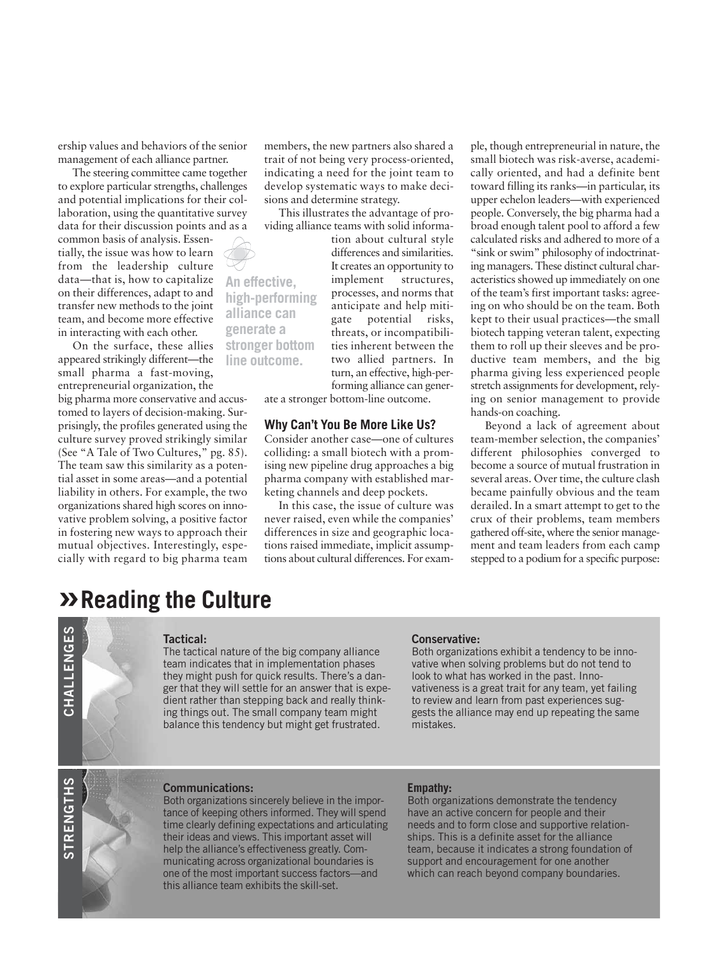ership values and behaviors of the senior management of each alliance partner.

The steering committee came together to explore particular strengths, challenges and potential implications for their collaboration, using the quantitative survey data for their discussion points and as a

common basis of analysis. Essentially, the issue was how to learn from the leadership culture data—that is, how to capitalize on their differences, adapt to and transfer new methods to the joint team, and become more effective in interacting with each other.

On the surface, these allies appeared strikingly different—the small pharma a fast-moving, entrepreneurial organization, the big pharma more conservative and accustomed to layers of decision-making. Surprisingly, the profiles generated using the culture survey proved strikingly similar (See "A Tale of Two Cultures," pg. 85). The team saw this similarity as a potential asset in some areas—and a potential liability in others. For example, the two organizations shared high scores on innovative problem solving, a positive factor in fostering new ways to approach their mutual objectives. Interestingly, especially with regard to big pharma team

members, the new partners also shared a trait of not being very process-oriented, indicating a need for the joint team to develop systematic ways to make decisions and determine strategy.

This illustrates the advantage of providing alliance teams with solid informa-

**An effective, high-performing alliance can generate a stronger bottom line outcome.**

tion about cultural style differences and similarities. It creates an opportunity to implement structures, processes, and norms that anticipate and help mitigate potential risks, threats, or incompatibilities inherent between the two allied partners. In turn, an effective, high-performing alliance can gener-

ate a stronger bottom-line outcome.

#### **Why Can't You Be More Like Us?**

Consider another case—one of cultures colliding: a small biotech with a promising new pipeline drug approaches a big pharma company with established marketing channels and deep pockets.

In this case, the issue of culture was never raised, even while the companies' differences in size and geographic locations raised immediate, implicit assumptions about cultural differences. For exam-

ple, though entrepreneurial in nature, the small biotech was risk-averse, academically oriented, and had a definite bent toward filling its ranks—in particular, its upper echelon leaders—with experienced people. Conversely, the big pharma had a broad enough talent pool to afford a few calculated risks and adhered to more of a "sink or swim" philosophy of indoctrinating managers. These distinct cultural characteristics showed up immediately on one of the team's first important tasks: agreeing on who should be on the team. Both kept to their usual practices—the small biotech tapping veteran talent, expecting them to roll up their sleeves and be productive team members, and the big pharma giving less experienced people stretch assignments for development, relying on senior management to provide hands-on coaching.

Beyond a lack of agreement about team-member selection, the companies' different philosophies converged to become a source of mutual frustration in several areas. Over time, the culture clash became painfully obvious and the team derailed. In a smart attempt to get to the crux of their problems, team members gathered off-site, where the senior management and team leaders from each camp stepped to a podium for a specific purpose:

#### **»Reading the Culture**



#### **Tactical:**

The tactical nature of the big company alliance team indicates that in implementation phases they might push for quick results. There's a danger that they will settle for an answer that is expedient rather than stepping back and really thinking things out. The small company team might balance this tendency but might get frustrated.

#### **Conservative:**

Both organizations exhibit a tendency to be innovative when solving problems but do not tend to look to what has worked in the past. Innovativeness is a great trait for any team, yet failing to review and learn from past experiences suggests the alliance may end up repeating the same mistakes.

#### **Communications:**

Both organizations sincerely believe in the importance of keeping others informed. They will spend time clearly defining expectations and articulating their ideas and views. This important asset will help the alliance's effectiveness greatly. Communicating across organizational boundaries is one of the most important success factors—and this alliance team exhibits the skill-set.

#### **Empathy:**

Both organizations demonstrate the tendency have an active concern for people and their needs and to form close and supportive relationships. This is a definite asset for the alliance team, because it indicates a strong foundation of support and encouragement for one another which can reach beyond company boundaries.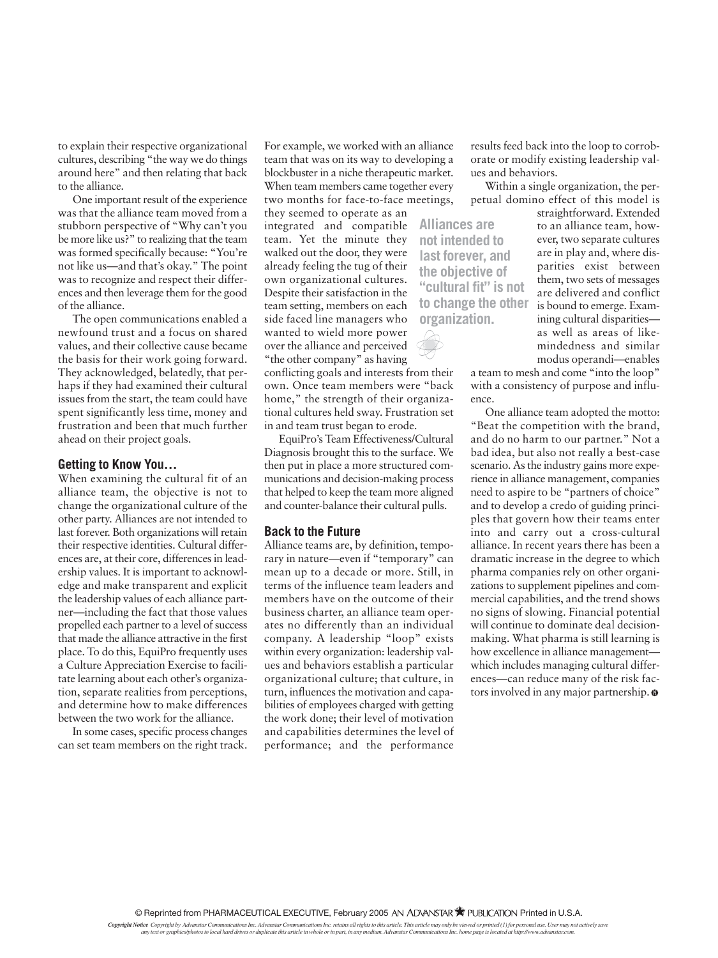to explain their respective organizational cultures, describing "the way we do things around here" and then relating that back to the alliance.

One important result of the experience was that the alliance team moved from a stubborn perspective of "Why can't you be more like us?" to realizing that the team was formed specifically because: "You're not like us—and that's okay." The point was to recognize and respect their differences and then leverage them for the good of the alliance.

The open communications enabled a newfound trust and a focus on shared values, and their collective cause became the basis for their work going forward. They acknowledged, belatedly, that perhaps if they had examined their cultural issues from the start, the team could have spent significantly less time, money and frustration and been that much further ahead on their project goals.

#### **Getting to Know You…**

When examining the cultural fit of an alliance team, the objective is not to change the organizational culture of the other party. Alliances are not intended to last forever. Both organizations will retain their respective identities. Cultural differences are, at their core, differences in leadership values. It is important to acknowledge and make transparent and explicit the leadership values of each alliance partner—including the fact that those values propelled each partner to a level of success that made the alliance attractive in the first place. To do this, EquiPro frequently uses a Culture Appreciation Exercise to facilitate learning about each other's organization, separate realities from perceptions, and determine how to make differences between the two work for the alliance.

In some cases, specific process changes can set team members on the right track.

For example, we worked with an alliance team that was on its way to developing a blockbuster in a niche therapeutic market. When team members came together every two months for face-to-face meetings,

they seemed to operate as an integrated and compatible team. Yet the minute they walked out the door, they were already feeling the tug of their own organizational cultures. Despite their satisfaction in the team setting, members on each side faced line managers who wanted to wield more power over the alliance and perceived "the other company" as having

conflicting goals and interests from their own. Once team members were "back home," the strength of their organizational cultures held sway. Frustration set in and team trust began to erode.

EquiPro's Team Effectiveness/Cultural Diagnosis brought this to the surface. We then put in place a more structured communications and decision-making process that helped to keep the team more aligned and counter-balance their cultural pulls.

#### **Back to the Future**

Alliance teams are, by definition, temporary in nature—even if "temporary" can mean up to a decade or more. Still, in terms of the influence team leaders and members have on the outcome of their business charter, an alliance team operates no differently than an individual company. A leadership "loop" exists within every organization: leadership values and behaviors establish a particular organizational culture; that culture, in turn, influences the motivation and capabilities of employees charged with getting the work done; their level of motivation and capabilities determines the level of performance; and the performance

results feed back into the loop to corroborate or modify existing leadership values and behaviors.

Within a single organization, the perpetual domino effect of this model is

**Alliances are not intended to last forever, and the objective of "cultural fit" is not to change the other organization.**

straightforward. Extended to an alliance team, however, two separate cultures are in play and, where disparities exist between them, two sets of messages are delivered and conflict is bound to emerge. Examining cultural disparities as well as areas of likemindedness and similar modus operandi—enables

a team to mesh and come "into the loop" with a consistency of purpose and influence.

One alliance team adopted the motto: "Beat the competition with the brand, and do no harm to our partner." Not a bad idea, but also not really a best-case scenario. As the industry gains more experience in alliance management, companies need to aspire to be "partners of choice" and to develop a credo of guiding principles that govern how their teams enter into and carry out a cross-cultural alliance. In recent years there has been a dramatic increase in the degree to which pharma companies rely on other organizations to supplement pipelines and commercial capabilities, and the trend shows no signs of slowing. Financial potential will continue to dominate deal decisionmaking. What pharma is still learning is how excellence in alliance management which includes managing cultural differences—can reduce many of the risk factors involved in any major partnership.  $\odot$ 

© Reprinted from PHARMACEUTICAL EXECUTIVE, February 2005 AN ADVANSTAR <sup>2</sup> PUBLICATION Printed in U.S.A.

Copyright Notice Copyright by Advanstar Communications Inc. Advanstar Communications Inc. retains all rights to this article. This article may only be viewed or printed (1) for personal use. User may not actively save<br>any